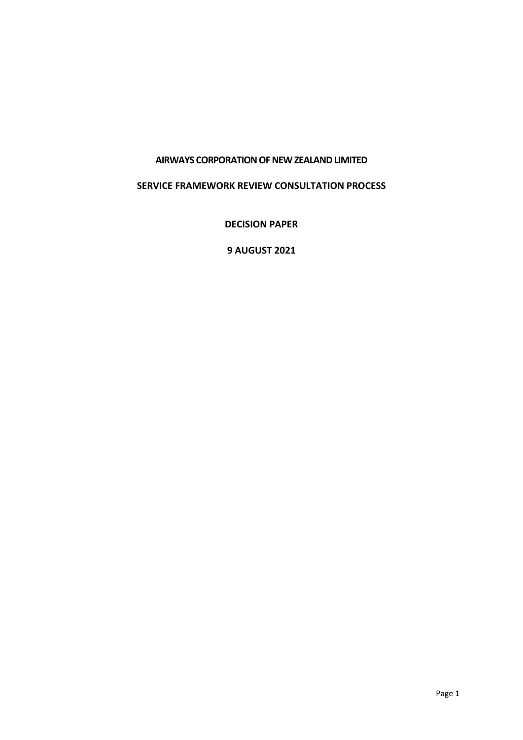#### **AIRWAYS CORPORATION OF NEW ZEALAND LIMITED**

#### **SERVICE FRAMEWORK REVIEW CONSULTATION PROCESS**

**DECISION PAPER**

**9 AUGUST 2021**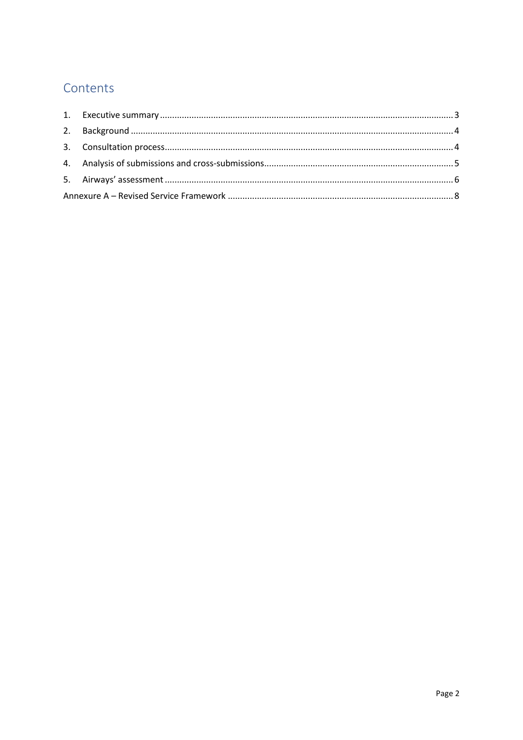# Contents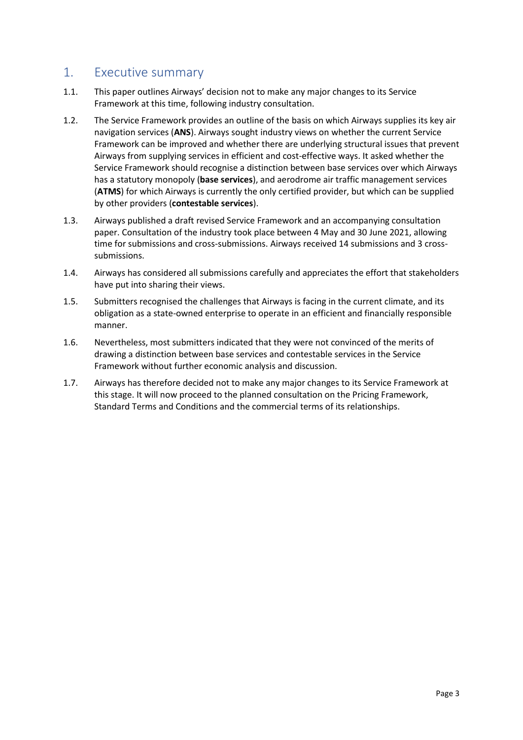## <span id="page-2-0"></span>1. Executive summary

- 1.1. This paper outlines Airways' decision not to make any major changes to its Service Framework at this time, following industry consultation.
- 1.2. The Service Framework provides an outline of the basis on which Airways supplies its key air navigation services (**ANS**). Airways sought industry views on whether the current Service Framework can be improved and whether there are underlying structural issues that prevent Airways from supplying services in efficient and cost-effective ways. It asked whether the Service Framework should recognise a distinction between base services over which Airways has a statutory monopoly (**base services**), and aerodrome air traffic management services (**ATMS**) for which Airways is currently the only certified provider, but which can be supplied by other providers (**contestable services**).
- 1.3. Airways published a draft revised Service Framework and an accompanying consultation paper. Consultation of the industry took place between 4 May and 30 June 2021, allowing time for submissions and cross-submissions. Airways received 14 submissions and 3 crosssubmissions.
- 1.4. Airways has considered all submissions carefully and appreciates the effort that stakeholders have put into sharing their views.
- 1.5. Submitters recognised the challenges that Airways is facing in the current climate, and its obligation as a state-owned enterprise to operate in an efficient and financially responsible manner.
- 1.6. Nevertheless, most submitters indicated that they were not convinced of the merits of drawing a distinction between base services and contestable services in the Service Framework without further economic analysis and discussion.
- 1.7. Airways has therefore decided not to make any major changes to its Service Framework at this stage. It will now proceed to the planned consultation on the Pricing Framework, Standard Terms and Conditions and the commercial terms of its relationships.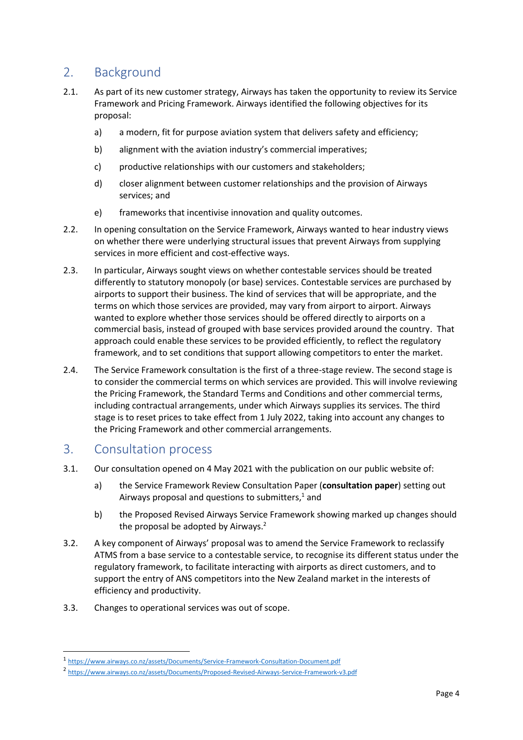# <span id="page-3-0"></span>2. Background

- 2.1. As part of its new customer strategy, Airways has taken the opportunity to review its Service Framework and Pricing Framework. Airways identified the following objectives for its proposal:
	- a) a modern, fit for purpose aviation system that delivers safety and efficiency;
	- b) alignment with the aviation industry's commercial imperatives;
	- c) productive relationships with our customers and stakeholders;
	- d) closer alignment between customer relationships and the provision of Airways services; and
	- e) frameworks that incentivise innovation and quality outcomes.
- 2.2. In opening consultation on the Service Framework, Airways wanted to hear industry views on whether there were underlying structural issues that prevent Airways from supplying services in more efficient and cost-effective ways.
- 2.3. In particular, Airways sought views on whether contestable services should be treated differently to statutory monopoly (or base) services. Contestable services are purchased by airports to support their business. The kind of services that will be appropriate, and the terms on which those services are provided, may vary from airport to airport. Airways wanted to explore whether those services should be offered directly to airports on a commercial basis, instead of grouped with base services provided around the country. That approach could enable these services to be provided efficiently, to reflect the regulatory framework, and to set conditions that support allowing competitors to enter the market.
- 2.4. The Service Framework consultation is the first of a three-stage review. The second stage is to consider the commercial terms on which services are provided. This will involve reviewing the Pricing Framework, the Standard Terms and Conditions and other commercial terms, including contractual arrangements, under which Airways supplies its services. The third stage is to reset prices to take effect from 1 July 2022, taking into account any changes to the Pricing Framework and other commercial arrangements.

### <span id="page-3-1"></span>3. Consultation process

- 3.1. Our consultation opened on 4 May 2021 with the publication on our public website of:
	- a) the Service Framework Review Consultation Paper (**consultation paper**) setting out Airways proposal and questions to submitters, <sup>1</sup> and
	- b) the Proposed Revised Airways Service Framework showing marked up changes should the proposal be adopted by Airways.<sup>2</sup>
- 3.2. A key component of Airways' proposal was to amend the Service Framework to reclassify ATMS from a base service to a contestable service, to recognise its different status under the regulatory framework, to facilitate interacting with airports as direct customers, and to support the entry of ANS competitors into the New Zealand market in the interests of efficiency and productivity.
- 3.3. Changes to operational services was out of scope.

<sup>1</sup> <https://www.airways.co.nz/assets/Documents/Service-Framework-Consultation-Document.pdf>

<sup>2</sup> <https://www.airways.co.nz/assets/Documents/Proposed-Revised-Airways-Service-Framework-v3.pdf>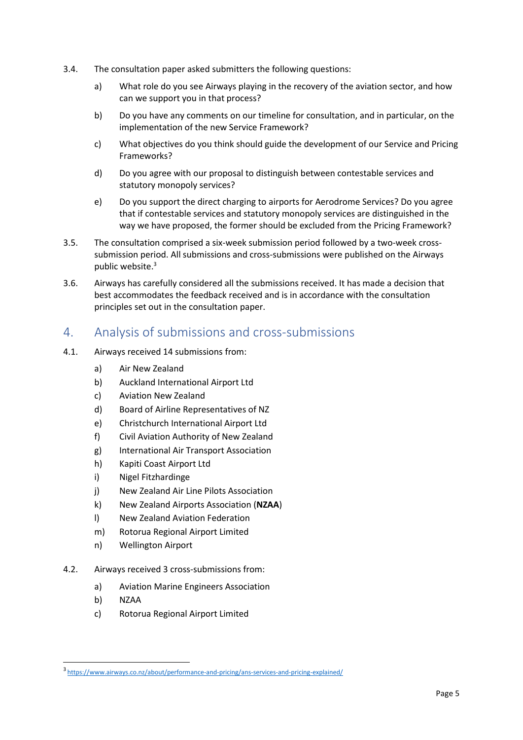- 3.4. The consultation paper asked submitters the following questions:
	- a) What role do you see Airways playing in the recovery of the aviation sector, and how can we support you in that process?
	- b) Do you have any comments on our timeline for consultation, and in particular, on the implementation of the new Service Framework?
	- c) What objectives do you think should guide the development of our Service and Pricing Frameworks?
	- d) Do you agree with our proposal to distinguish between contestable services and statutory monopoly services?
	- e) Do you support the direct charging to airports for Aerodrome Services? Do you agree that if contestable services and statutory monopoly services are distinguished in the way we have proposed, the former should be excluded from the Pricing Framework?
- 3.5. The consultation comprised a six-week submission period followed by a two-week crosssubmission period. All submissions and cross-submissions were published on the Airways public website. 3
- 3.6. Airways has carefully considered all the submissions received. It has made a decision that best accommodates the feedback received and is in accordance with the consultation principles set out in the consultation paper.

## <span id="page-4-0"></span>4. Analysis of submissions and cross-submissions

- 4.1. Airways received 14 submissions from:
	- a) Air New Zealand
	- b) Auckland International Airport Ltd
	- c) Aviation New Zealand
	- d) Board of Airline Representatives of NZ
	- e) Christchurch International Airport Ltd
	- f) Civil Aviation Authority of New Zealand
	- g) International Air Transport Association
	- h) Kapiti Coast Airport Ltd
	- i) Nigel Fitzhardinge
	- j) New Zealand Air Line Pilots Association
	- k) New Zealand Airports Association (**NZAA**)
	- l) New Zealand Aviation Federation
	- m) Rotorua Regional Airport Limited
	- n) Wellington Airport
- 4.2. Airways received 3 cross-submissions from:
	- a) Aviation Marine Engineers Association
	- b) NZAA
	- c) Rotorua Regional Airport Limited

<sup>3</sup> <https://www.airways.co.nz/about/performance-and-pricing/ans-services-and-pricing-explained/>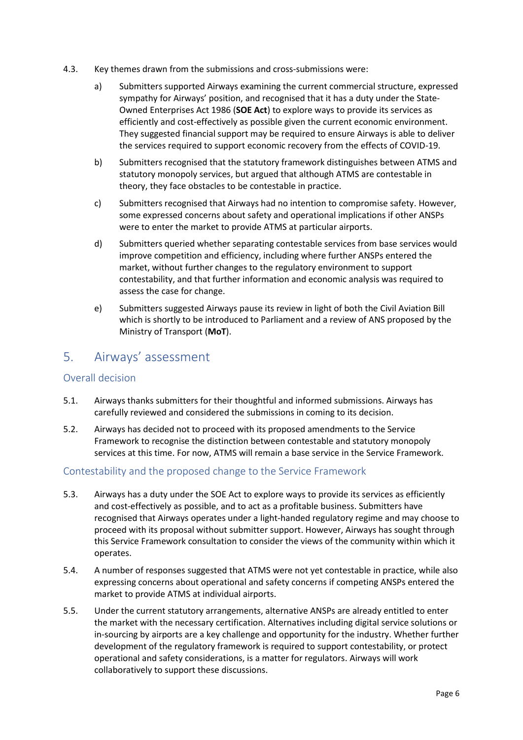- 4.3. Key themes drawn from the submissions and cross-submissions were:
	- a) Submitters supported Airways examining the current commercial structure, expressed sympathy for Airways' position, and recognised that it has a duty under the State-Owned Enterprises Act 1986 (**SOE Act**) to explore ways to provide its services as efficiently and cost-effectively as possible given the current economic environment. They suggested financial support may be required to ensure Airways is able to deliver the services required to support economic recovery from the effects of COVID-19.
	- b) Submitters recognised that the statutory framework distinguishes between ATMS and statutory monopoly services, but argued that although ATMS are contestable in theory, they face obstacles to be contestable in practice.
	- c) Submitters recognised that Airways had no intention to compromise safety. However, some expressed concerns about safety and operational implications if other ANSPs were to enter the market to provide ATMS at particular airports.
	- d) Submitters queried whether separating contestable services from base services would improve competition and efficiency, including where further ANSPs entered the market, without further changes to the regulatory environment to support contestability, and that further information and economic analysis was required to assess the case for change.
	- e) Submitters suggested Airways pause its review in light of both the Civil Aviation Bill which is shortly to be introduced to Parliament and a review of ANS proposed by the Ministry of Transport (**MoT**).

### <span id="page-5-0"></span>5. Airways' assessment

### Overall decision

- 5.1. Airways thanks submitters for their thoughtful and informed submissions. Airways has carefully reviewed and considered the submissions in coming to its decision.
- 5.2. Airways has decided not to proceed with its proposed amendments to the Service Framework to recognise the distinction between contestable and statutory monopoly services at this time. For now, ATMS will remain a base service in the Service Framework.

### Contestability and the proposed change to the Service Framework

- 5.3. Airways has a duty under the SOE Act to explore ways to provide its services as efficiently and cost-effectively as possible, and to act as a profitable business. Submitters have recognised that Airways operates under a light-handed regulatory regime and may choose to proceed with its proposal without submitter support. However, Airways has sought through this Service Framework consultation to consider the views of the community within which it operates.
- 5.4. A number of responses suggested that ATMS were not yet contestable in practice, while also expressing concerns about operational and safety concerns if competing ANSPs entered the market to provide ATMS at individual airports.
- 5.5. Under the current statutory arrangements, alternative ANSPs are already entitled to enter the market with the necessary certification. Alternatives including digital service solutions or in-sourcing by airports are a key challenge and opportunity for the industry. Whether further development of the regulatory framework is required to support contestability, or protect operational and safety considerations, is a matter for regulators. Airways will work collaboratively to support these discussions.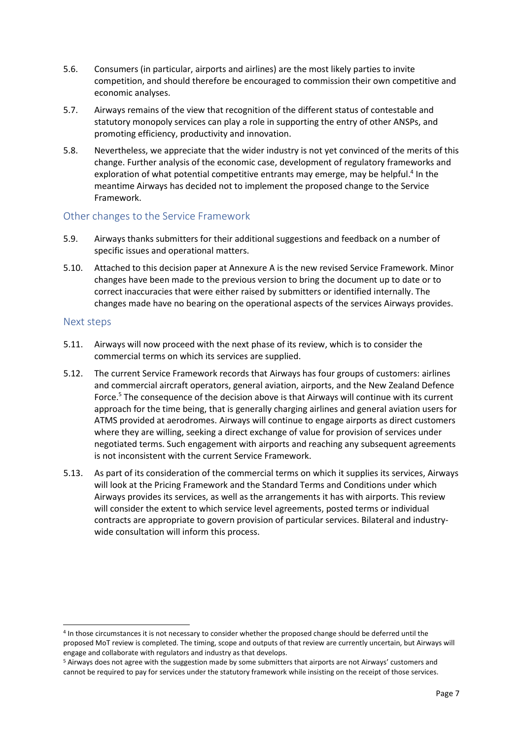- 5.6. Consumers (in particular, airports and airlines) are the most likely parties to invite competition, and should therefore be encouraged to commission their own competitive and economic analyses.
- 5.7. Airways remains of the view that recognition of the different status of contestable and statutory monopoly services can play a role in supporting the entry of other ANSPs, and promoting efficiency, productivity and innovation.
- 5.8. Nevertheless, we appreciate that the wider industry is not yet convinced of the merits of this change. Further analysis of the economic case, development of regulatory frameworks and exploration of what potential competitive entrants may emerge, may be helpful.<sup>4</sup> In the meantime Airways has decided not to implement the proposed change to the Service Framework.

#### Other changes to the Service Framework

- 5.9. Airways thanks submitters for their additional suggestions and feedback on a number of specific issues and operational matters.
- 5.10. Attached to this decision paper at Annexure A is the new revised Service Framework. Minor changes have been made to the previous version to bring the document up to date or to correct inaccuracies that were either raised by submitters or identified internally. The changes made have no bearing on the operational aspects of the services Airways provides.

#### Next steps

- 5.11. Airways will now proceed with the next phase of its review, which is to consider the commercial terms on which its services are supplied.
- 5.12. The current Service Framework records that Airways has four groups of customers: airlines and commercial aircraft operators, general aviation, airports, and the New Zealand Defence Force.<sup>5</sup> The consequence of the decision above is that Airways will continue with its current approach for the time being, that is generally charging airlines and general aviation users for ATMS provided at aerodromes. Airways will continue to engage airports as direct customers where they are willing, seeking a direct exchange of value for provision of services under negotiated terms. Such engagement with airports and reaching any subsequent agreements is not inconsistent with the current Service Framework.
- 5.13. As part of its consideration of the commercial terms on which it supplies its services, Airways will look at the Pricing Framework and the Standard Terms and Conditions under which Airways provides its services, as well as the arrangements it has with airports. This review will consider the extent to which service level agreements, posted terms or individual contracts are appropriate to govern provision of particular services. Bilateral and industrywide consultation will inform this process.

<sup>4</sup> In those circumstances it is not necessary to consider whether the proposed change should be deferred until the proposed MoT review is completed. The timing, scope and outputs of that review are currently uncertain, but Airways will engage and collaborate with regulators and industry as that develops.

<sup>5</sup> Airways does not agree with the suggestion made by some submitters that airports are not Airways' customers and cannot be required to pay for services under the statutory framework while insisting on the receipt of those services.